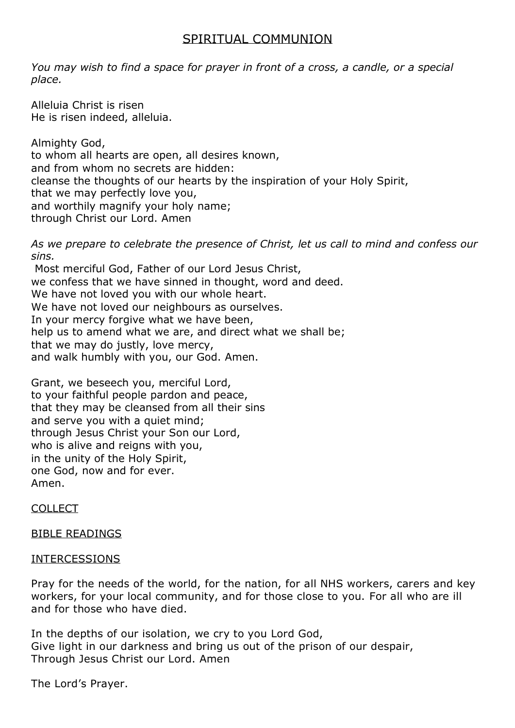## SPIRITUAL COMMUNION

*You may wish to find a space for prayer in front of a cross, a candle, or a special place.* 

Alleluia Christ is risen He is risen indeed, alleluia.

Almighty God, to whom all hearts are open, all desires known, and from whom no secrets are hidden: cleanse the thoughts of our hearts by the inspiration of your Holy Spirit, that we may perfectly love you, and worthily magnify your holy name; through Christ our Lord. Amen

*As we prepare to celebrate the presence of Christ, let us call to mind and confess our sins.* 

Most merciful God, Father of our Lord Jesus Christ, we confess that we have sinned in thought, word and deed. We have not loved you with our whole heart. We have not loved our neighbours as ourselves. In your mercy forgive what we have been, help us to amend what we are, and direct what we shall be; that we may do justly, love mercy, and walk humbly with you, our God. Amen.

Grant, we beseech you, merciful Lord, to your faithful people pardon and peace, that they may be cleansed from all their sins and serve you with a quiet mind; through Jesus Christ your Son our Lord, who is alive and reigns with you, in the unity of the Holy Spirit, one God, now and for ever. Amen.

COLLECT

## BIBLE READINGS

## INTERCESSIONS

Pray for the needs of the world, for the nation, for all NHS workers, carers and key workers, for your local community, and for those close to you. For all who are ill and for those who have died.

In the depths of our isolation, we cry to you Lord God, Give light in our darkness and bring us out of the prison of our despair, Through Jesus Christ our Lord. Amen

The Lord's Prayer.